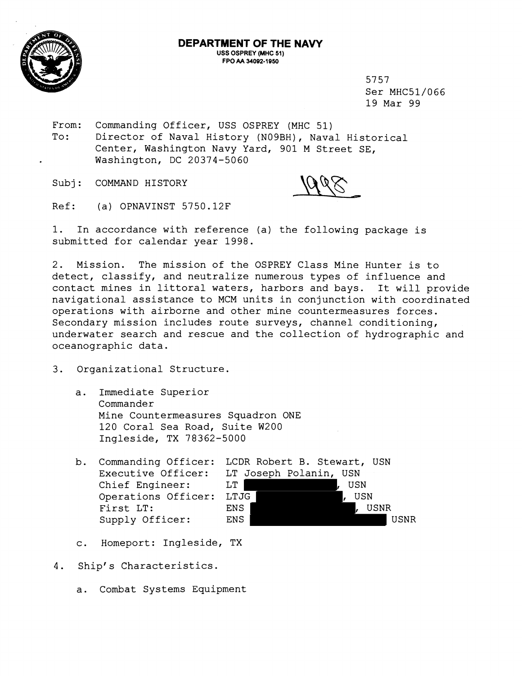

5757 Ser MHC51/066 19 Mar 99

From: Commanding Officer, USS OSPREY (MHC 51) To: Director of Naval History (NOgBH), Naval Historical Center, Washington Navy Yard, 901 M Street SE, Washington, DC 20374-5060

Subj: COMMAND HISTORY

Ref: (a) OPNAVINST 5750.12F

1. In accordance with reference (a) the following package is submitted for calendar year 1998.

2. Mission. The mission of the OSPREY Class Mine Hunter is to detect, classify, and neutralize numerous types of influence and contact mines in littoral waters, harbors and bays. It will provide navigational assistance to MCM units in conjunction with coordinated operations with airborne and other mine countermeasures forces. Secondary mission includes route surveys, channel conditioning, underwater search and rescue and the collection of hydrographic and oceanographic data.

- 3. Organizational Structure.
	- a. Immediate Superior Commander Mine Countermeasures Squadron ONE 120 Coral Sea Road, Suite W200 Ingleside, TX 78362-5000
	-



- c. Homeport: Ingleside, TX
- 4. Ship's Characteristics.
	- a. Combat Systems Equipment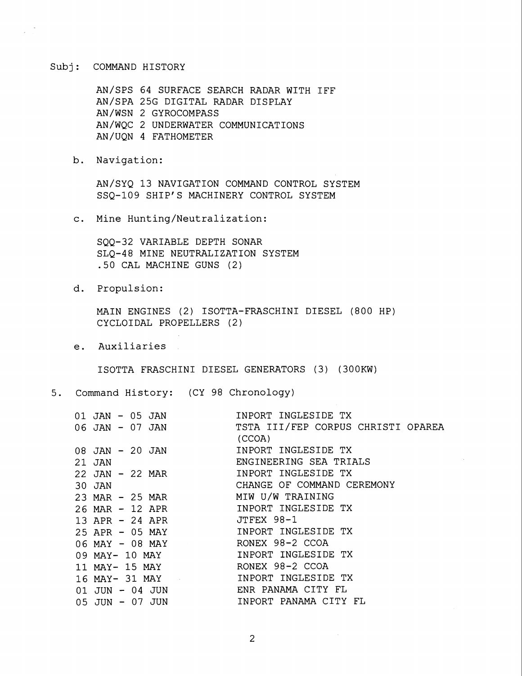## Subj: COMMAND HISTORY

AN/SPS 64 SURFACE SEARCH RADAR WITH IFF AN/SPA 25G DIGITAL RADAR DISPLAY AN/WSN 2 GYROCOMPASS AN/WQC 2 UNDERWATER COMMUNICATIONS AN/UQN 4 FATHOMETER

b. Navigation:

AN/SYQ 13 NAVIGATION COMMAND CONTROL SYSTEM SSQ-109 SHIP'S MACHINERY CONTROL SYSTEM

c. Mine Hunting/Neutralization:

SQQ-32 VARIABLE DEPTH SONAR SLQ-48 MINE NEUTRALIZATION SYSTEM .50 CAL MACHINE GUNS (2)

d. Propulsion:

MAIN ENGINES (2) ISOTTA-FRASCHINI DIESEL (800 HP) CYCLOIDAL PROPELLERS (2 )

e. Auxiliaries

ISOTTA FRASCHINI DIESEL GENERATORS (3) (300KW)

5. Command History: (CY 98 Chronology)

| $01$ JAN - $05$ JAN<br>06 JAN - 07 JAN |                | INPORT INGLESIDE TX<br>TSTA III/FEP CORPUS CHRISTI OPAREA<br>(CCOA) |
|----------------------------------------|----------------|---------------------------------------------------------------------|
| 08 JAN - 20 JAN<br>21 JAN              |                | INPORT INGLESIDE TX<br>ENGINEERING SEA TRIALS                       |
| 22 JAN - 22 MAR<br>$30$ JAN            |                | INPORT INGLESIDE TX<br>CHANGE OF COMMAND CEREMONY                   |
| 23 MAR - 25 MAR<br>26 MAR - 12 APR     |                | MIW U/W TRAINING<br>INPORT INGLESIDE TX                             |
| 13 APR - 24 APR<br>25 APR - 05 MAY     |                | JTFFX 98-1<br>INPORT INGLESIDE TX                                   |
| 06 MAY - 08 MAY                        |                | RONEX 98-2 CCOA<br>INPORT INGLESIDE TX                              |
| 09 MAY- 10 MAY                         | 11 MAY- 15 MAY | RONEX 98-2 CCOA                                                     |
| $01$ JUN - 04 JUN<br>05 JUN - 07 JUN   | 16 MAY- 31 MAY | INPORT INGLESIDE TX<br>ENR PANAMA CITY FL<br>INPORT PANAMA CITY FL  |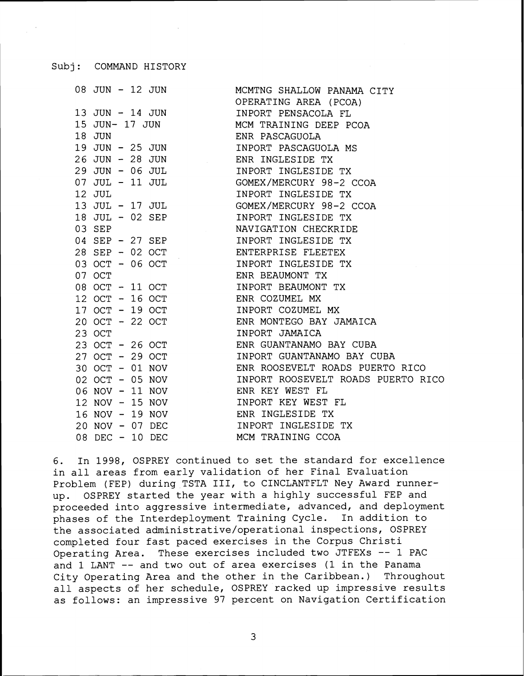Subj: COMMAND HISTORY

| 08 JUN - 12 JUN |                 | MCMTNG SHALLOW PANAMA CITY         |
|-----------------|-----------------|------------------------------------|
|                 |                 | OPERATING AREA (PCOA)              |
| 13 JUN - 14 JUN |                 | INPORT PENSACOLA FL                |
| 15 JUN- 17 JUN  |                 | MCM TRAINING DEEP PCOA             |
| 18 JUN          |                 | ENR PASCAGUOLA                     |
|                 | 19 JUN - 25 JUN | INPORT PASCAGUOLA MS               |
|                 | 26 JUN - 28 JUN | ENR INGLESIDE TX                   |
| 29 JUN - 06 JUL |                 | INPORT INGLESIDE TX                |
| 07 JUL - 11 JUL |                 | GOMEX/MERCURY 98-2 CCOA            |
| 12 JUL          |                 | INPORT INGLESIDE TX                |
|                 | 13 JUL - 17 JUL | GOMEX/MERCURY 98-2 CCOA            |
| 18 JUL - 02 SEP |                 | INPORT INGLESIDE TX                |
| 03 SEP          |                 | NAVIGATION CHECKRIDE               |
|                 | 04 SEP - 27 SEP | INPORT INGLESIDE TX                |
|                 | 28 SEP - 02 OCT | ENTERPRISE FLEETEX                 |
| 03 OCT - 06 OCT |                 | INPORT INGLESIDE TX                |
| 07 OCT          |                 | ENR BEAUMONT TX                    |
| 08 OCT - 11 OCT |                 | INPORT BEAUMONT TX                 |
| 12 OCT - 16 OCT |                 | ENR COZUMEL MX                     |
| 17 OCT - 19 OCT |                 | INPORT COZUMEL MX                  |
| 20 OCT - 22 OCT |                 | ENR MONTEGO BAY JAMAICA            |
| 23 OCT          |                 | INPORT JAMAICA                     |
| 23 OCT - 26 OCT |                 | ENR GUANTANAMO BAY CUBA            |
| 27 OCT - 29 OCT |                 | INPORT GUANTANAMO BAY CUBA         |
| 30 OCT - 01 NOV |                 | ENR ROOSEVELT ROADS PUERTO RICO    |
| 02 OCT - 05 NOV |                 | INPORT ROOSEVELT ROADS PUERTO RICO |
| 06 NOV - 11 NOV |                 | ENR KEY WEST FL                    |
| 12 NOV - 15 NOV |                 | INPORT KEY WEST FL                 |
| 16 NOV - 19 NOV |                 | ENR INGLESIDE TX                   |
| 20 NOV - 07 DEC |                 | INPORT INGLESIDE TX                |
| 08 DEC - 10 DEC |                 | MCM TRAINING CCOA                  |
|                 |                 |                                    |

6. In 1998, OSPREY continued to set the standard for excellence in all areas from early validation of her Final Evaluation Problem (FEP) during TSTA 111, to CINCLANTFLT Ney Award runnerup. OSPREY started the year with a highly successful FEP and proceeded into aggressive intermediate, advanced, and deployment phases of the Interdeployment Training Cycle. In addition to the associated administrative/operational inspections, OSPREY completed four fast paced exercises in the Corpus Christi Operating Area. These exercises included two JTFEXs -- 1 PAC and 1 LANT -- and two out of area exercises (1 in the Panama City Operating Area and the other in the Caribbean.) Throughout all aspects of her schedule, OSPREY racked up impressive results as follows: an impressive 97 percent on Navigation Certification

3